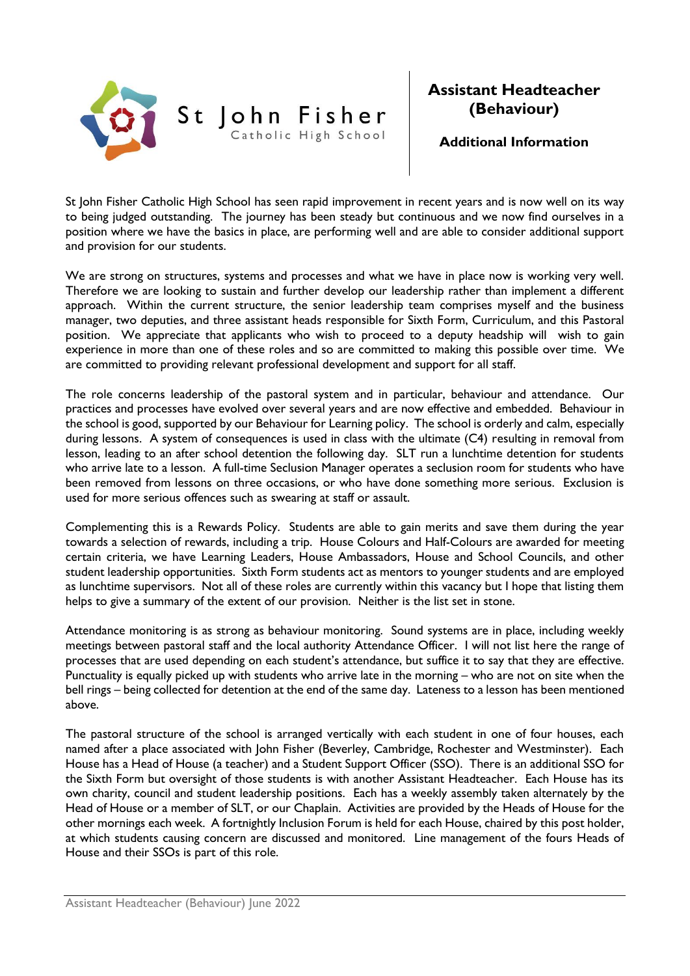

## **Assistant Headteacher (Behaviour)**

**Additional Information**

St John Fisher Catholic High School has seen rapid improvement in recent years and is now well on its way to being judged outstanding. The journey has been steady but continuous and we now find ourselves in a position where we have the basics in place, are performing well and are able to consider additional support and provision for our students.

We are strong on structures, systems and processes and what we have in place now is working very well. Therefore we are looking to sustain and further develop our leadership rather than implement a different approach. Within the current structure, the senior leadership team comprises myself and the business manager, two deputies, and three assistant heads responsible for Sixth Form, Curriculum, and this Pastoral position. We appreciate that applicants who wish to proceed to a deputy headship will wish to gain experience in more than one of these roles and so are committed to making this possible over time. We are committed to providing relevant professional development and support for all staff.

The role concerns leadership of the pastoral system and in particular, behaviour and attendance. Our practices and processes have evolved over several years and are now effective and embedded. Behaviour in the school is good, supported by our Behaviour for Learning policy. The school is orderly and calm, especially during lessons. A system of consequences is used in class with the ultimate (C4) resulting in removal from lesson, leading to an after school detention the following day. SLT run a lunchtime detention for students who arrive late to a lesson. A full-time Seclusion Manager operates a seclusion room for students who have been removed from lessons on three occasions, or who have done something more serious. Exclusion is used for more serious offences such as swearing at staff or assault.

Complementing this is a Rewards Policy. Students are able to gain merits and save them during the year towards a selection of rewards, including a trip. House Colours and Half-Colours are awarded for meeting certain criteria, we have Learning Leaders, House Ambassadors, House and School Councils, and other student leadership opportunities. Sixth Form students act as mentors to younger students and are employed as lunchtime supervisors. Not all of these roles are currently within this vacancy but I hope that listing them helps to give a summary of the extent of our provision. Neither is the list set in stone.

Attendance monitoring is as strong as behaviour monitoring. Sound systems are in place, including weekly meetings between pastoral staff and the local authority Attendance Officer. I will not list here the range of processes that are used depending on each student's attendance, but suffice it to say that they are effective. Punctuality is equally picked up with students who arrive late in the morning – who are not on site when the bell rings – being collected for detention at the end of the same day. Lateness to a lesson has been mentioned above.

The pastoral structure of the school is arranged vertically with each student in one of four houses, each named after a place associated with John Fisher (Beverley, Cambridge, Rochester and Westminster). Each House has a Head of House (a teacher) and a Student Support Officer (SSO). There is an additional SSO for the Sixth Form but oversight of those students is with another Assistant Headteacher. Each House has its own charity, council and student leadership positions. Each has a weekly assembly taken alternately by the Head of House or a member of SLT, or our Chaplain. Activities are provided by the Heads of House for the other mornings each week. A fortnightly Inclusion Forum is held for each House, chaired by this post holder, at which students causing concern are discussed and monitored. Line management of the fours Heads of House and their SSOs is part of this role.